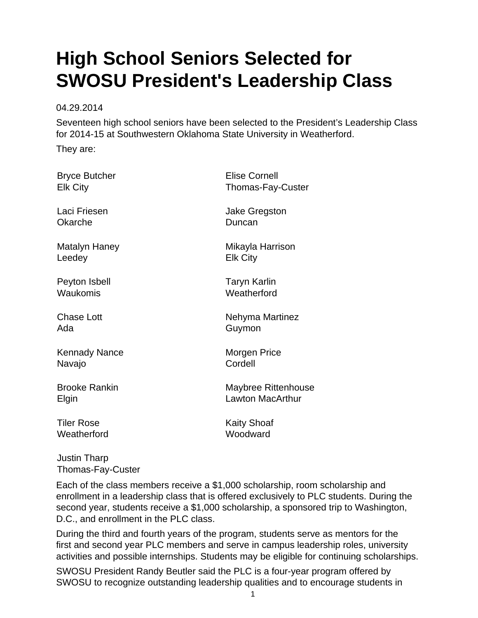## **High School Seniors Selected for SWOSU President's Leadership Class**

04.29.2014

Seventeen high school seniors have been selected to the President's Leadership Class for 2014-15 at Southwestern Oklahoma State University in Weatherford.

They are:

Bryce Butcher Elk City

Laci Friesen Okarche

Matalyn Haney Leedey

Peyton Isbell Waukomis

Chase Lott Ada

Kennady Nance Navajo

Brooke Rankin Elgin

Tiler Rose **Weatherford**  Elise Cornell Thomas-Fay-Custer

Jake Gregston **Duncan** 

Mikayla Harrison Elk City

Taryn Karlin **Weatherford** 

Nehyma Martinez Guymon

Morgen Price Cordell

Maybree Rittenhouse Lawton MacArthur

Kaity Shoaf **Woodward** 

Justin Tharp Thomas-Fay-Custer

Each of the class members receive a \$1,000 scholarship, room scholarship and enrollment in a leadership class that is offered exclusively to PLC students. During the second year, students receive a \$1,000 scholarship, a sponsored trip to Washington, D.C., and enrollment in the PLC class.

During the third and fourth years of the program, students serve as mentors for the first and second year PLC members and serve in campus leadership roles, university activities and possible internships. Students may be eligible for continuing scholarships.

SWOSU President Randy Beutler said the PLC is a four-year program offered by SWOSU to recognize outstanding leadership qualities and to encourage students in